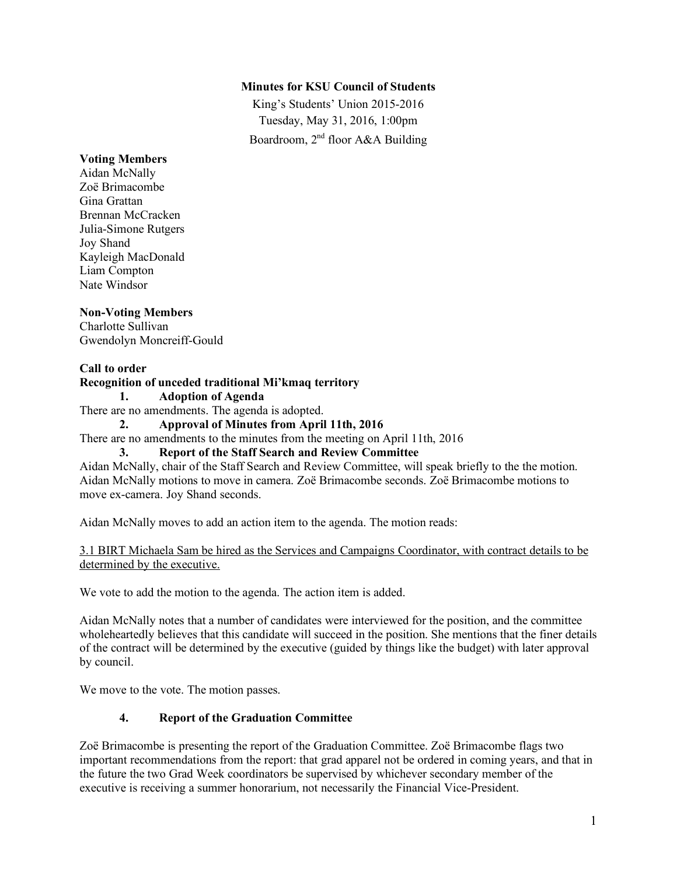## **Minutes for KSU Council of Students**

King's Students' Union 2015-2016 Tuesday, May 31, 2016, 1:00pm Boardroom, 2nd floor A&A Building

#### **Voting Members**

Aidan McNally Zoë Brimacombe Gina Grattan Brennan McCracken Julia-Simone Rutgers Joy Shand Kayleigh MacDonald Liam Compton Nate Windsor

## **Non-Voting Members**

Charlotte Sullivan Gwendolyn Moncreiff-Gould

### **Call to order**

### **Recognition of unceded traditional Mi'kmaq territory**

**1. Adoption of Agenda**

There are no amendments. The agenda is adopted.

#### **2. Approval of Minutes from April 11th, 2016**

There are no amendments to the minutes from the meeting on April 11th, 2016

#### **3. Report of the Staff Search and Review Committee**

Aidan McNally, chair of the Staff Search and Review Committee, will speak briefly to the the motion. Aidan McNally motions to move in camera. Zoë Brimacombe seconds. Zoë Brimacombe motions to move ex-camera. Joy Shand seconds.

Aidan McNally moves to add an action item to the agenda. The motion reads:

3.1 BIRT Michaela Sam be hired as the Services and Campaigns Coordinator, with contract details to be determined by the executive.

We vote to add the motion to the agenda. The action item is added.

Aidan McNally notes that a number of candidates were interviewed for the position, and the committee wholeheartedly believes that this candidate will succeed in the position. She mentions that the finer details of the contract will be determined by the executive (guided by things like the budget) with later approval by council.

We move to the vote. The motion passes.

## **4. Report of the Graduation Committee**

Zoë Brimacombe is presenting the report of the Graduation Committee. Zoë Brimacombe flags two important recommendations from the report: that grad apparel not be ordered in coming years, and that in the future the two Grad Week coordinators be supervised by whichever secondary member of the executive is receiving a summer honorarium, not necessarily the Financial Vice-President.